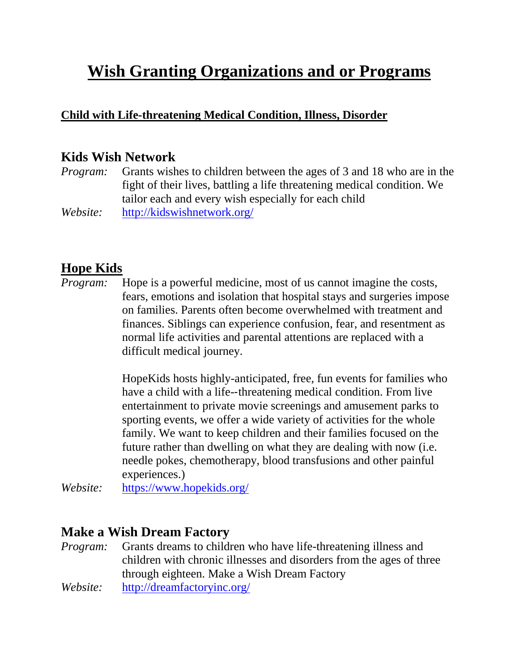# **Wish Granting Organizations and or Programs**

#### **Child with Life-threatening Medical Condition, Illness, Disorder**

#### **Kids Wish Network**

*Program:* Grants wishes to children between the ages of 3 and 18 who are in the fight of their lives, battling a life threatening medical condition. We tailor each and every wish especially for each child *Website:* <http://kidswishnetwork.org/>

#### **Hope Kids**

*Program:* Hope is a powerful medicine, most of us cannot imagine the costs, fears, emotions and isolation that hospital stays and surgeries impose on families. Parents often become overwhelmed with treatment and finances. Siblings can experience confusion, fear, and resentment as normal life activities and parental attentions are replaced with a difficult medical journey.

> HopeKids hosts highly-anticipated, free, fun events for families who have a child with a life--threatening medical condition. From live entertainment to private movie screenings and amusement parks to sporting events, we offer a wide variety of activities for the whole family. We want to keep children and their families focused on the future rather than dwelling on what they are dealing with now (i.e. needle pokes, chemotherapy, blood transfusions and other painful experiences.)

*Website:* <https://www.hopekids.org/>

#### **Make a Wish Dream Factory**

*Program:* Grants dreams to children who have life-threatening illness and children with chronic illnesses and disorders from the ages of three through eighteen. Make a Wish Dream Factory *Website:* <http://dreamfactoryinc.org/>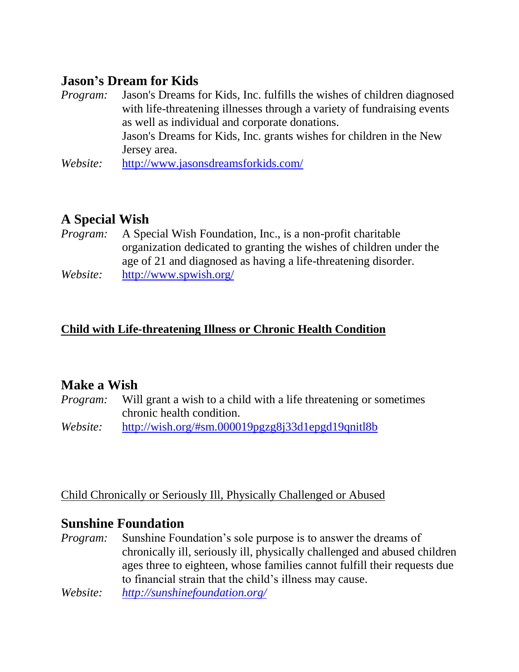#### **Jason's Dream for Kids**

- *Program:* Jason's Dreams for Kids, Inc. fulfills the wishes of children diagnosed with life-threatening illnesses through a variety of fundraising events as well as individual and corporate donations. Jason's Dreams for Kids, Inc. grants wishes for children in the New Jersey area.
- *Website:* <http://www.jasonsdreamsforkids.com/>

## **A Special Wish**

- *Program:* A Special Wish Foundation, Inc., is a non-profit charitable organization dedicated to granting the wishes of children under the age of 21 and diagnosed as having a life-threatening disorder.
- *Website:* <http://www.spwish.org/>

#### **Child with Life-threatening Illness or Chronic Health Condition**

#### **Make a Wish**

*Program:* Will grant a wish to a child with a life threatening or sometimes chronic health condition.

*Website:* <http://wish.org/#sm.000019pgzg8j33d1epgd19qnitl8b>

Child Chronically or Seriously Ill, Physically Challenged or Abused

#### **Sunshine Foundation**

- *Program:* Sunshine Foundation's sole purpose is to answer the dreams of chronically ill, seriously ill, physically challenged and abused children ages three to eighteen, whose families cannot fulfill their requests due to financial strain that the child's illness may cause.
- *Website: <http://sunshinefoundation.org/>*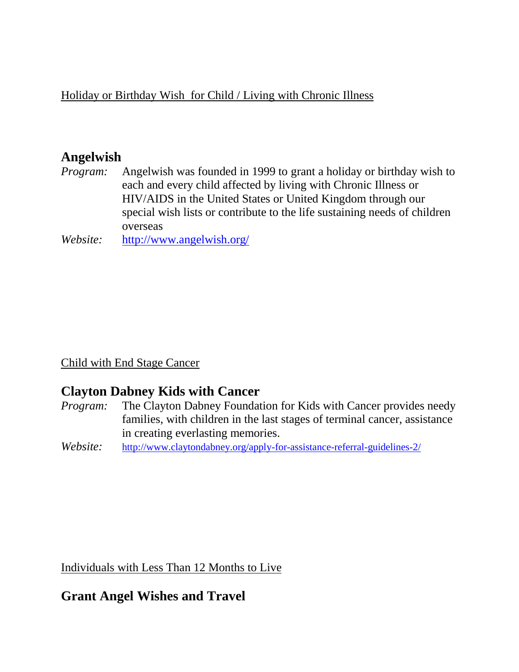Holiday or Birthday Wish for Child / Living with Chronic Illness

#### **Angelwish**

*Program:* Angelwish was founded in 1999 to grant a holiday or birthday wish to each and every child affected by living with Chronic Illness or HIV/AIDS in the United States or United Kingdom through our special wish lists or contribute to the life sustaining needs of children overseas

*Website:* <http://www.angelwish.org/>

Child with End Stage Cancer

#### **Clayton Dabney Kids with Cancer**

- *Program:* The Clayton Dabney Foundation for Kids with Cancer provides needy families, with children in the last stages of terminal cancer, assistance in creating everlasting memories.
- *Website:* <http://www.claytondabney.org/apply-for-assistance-referral-guidelines-2/>

Individuals with Less Than 12 Months to Live

#### **Grant Angel Wishes and Travel**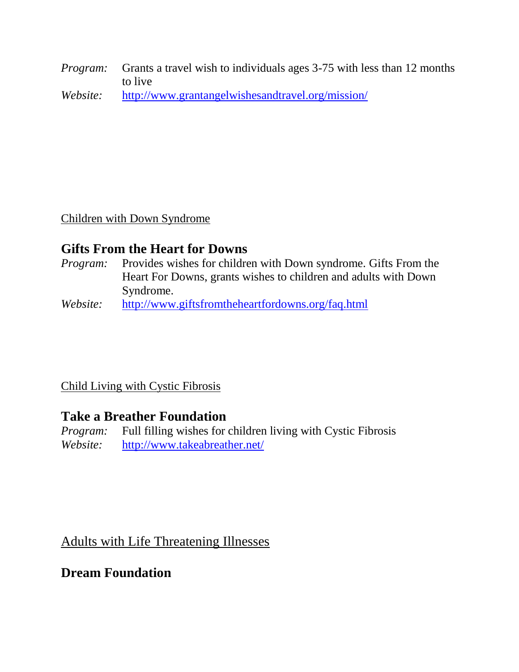*Program:* Grants a travel wish to individuals ages 3-75 with less than 12 months to live

*Website:* <http://www.grantangelwishesandtravel.org/mission/>

Children with Down Syndrome

## **Gifts From the Heart for Downs**

- *Program:* Provides wishes for children with Down syndrome. Gifts From the Heart For Downs, grants wishes to children and adults with Down Syndrome.
- *Website:* <http://www.giftsfromtheheartfordowns.org/faq.html>

Child Living with Cystic Fibrosis

## **Take a Breather Foundation**

*Program:* Full filling wishes for children living with Cystic Fibrosis *Website:* <http://www.takeabreather.net/>

Adults with Life Threatening Illnesses

## **Dream Foundation**